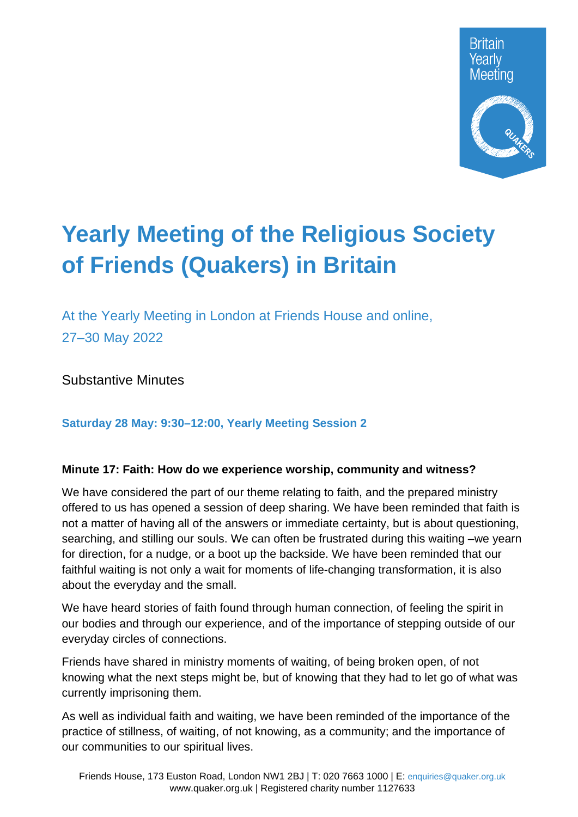

# **Yearly Meeting of the Religious Society of Friends (Quakers) in Britain**

At the Yearly Meeting in London at Friends House and online, 27–30 May 2022

Substantive Minutes

# **Saturday 28 May: 9:30–12:00, Yearly Meeting Session 2**

## **Minute 17: Faith: How do we experience worship, community and witness?**

We have considered the part of our theme relating to faith, and the prepared ministry offered to us has opened a session of deep sharing. We have been reminded that faith is not a matter of having all of the answers or immediate certainty, but is about questioning, searching, and stilling our souls. We can often be frustrated during this waiting –we yearn for direction, for a nudge, or a boot up the backside. We have been reminded that our faithful waiting is not only a wait for moments of life-changing transformation, it is also about the everyday and the small.

We have heard stories of faith found through human connection, of feeling the spirit in our bodies and through our experience, and of the importance of stepping outside of our everyday circles of connections.

Friends have shared in ministry moments of waiting, of being broken open, of not knowing what the next steps might be, but of knowing that they had to let go of what was currently imprisoning them.

As well as individual faith and waiting, we have been reminded of the importance of the practice of stillness, of waiting, of not knowing, as a community; and the importance of our communities to our spiritual lives.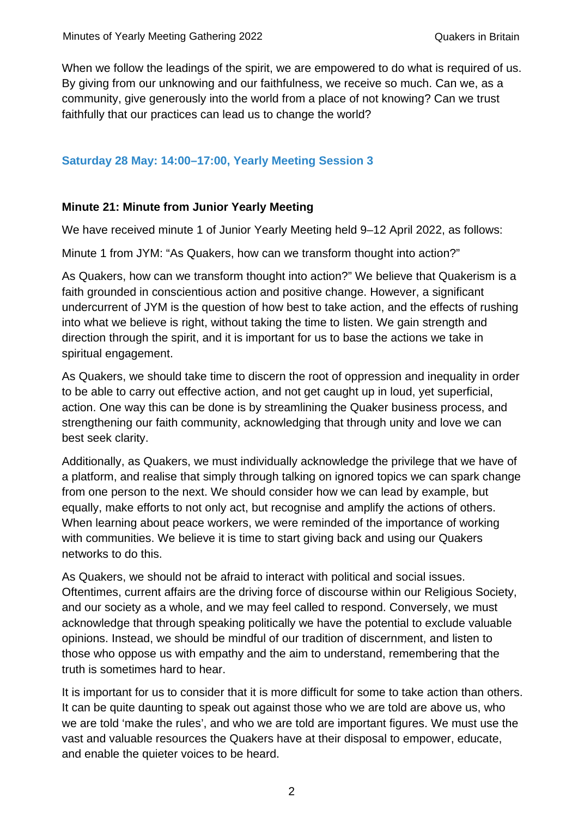When we follow the leadings of the spirit, we are empowered to do what is required of us. By giving from our unknowing and our faithfulness, we receive so much. Can we, as a community, give generously into the world from a place of not knowing? Can we trust faithfully that our practices can lead us to change the world?

## **Saturday 28 May: 14:00–17:00, Yearly Meeting Session 3**

## **Minute 21: Minute from Junior Yearly Meeting**

We have received minute 1 of Junior Yearly Meeting held 9–12 April 2022, as follows:

Minute 1 from JYM: "As Quakers, how can we transform thought into action?"

As Quakers, how can we transform thought into action?" We believe that Quakerism is a faith grounded in conscientious action and positive change. However, a significant undercurrent of JYM is the question of how best to take action, and the effects of rushing into what we believe is right, without taking the time to listen. We gain strength and direction through the spirit, and it is important for us to base the actions we take in spiritual engagement.

As Quakers, we should take time to discern the root of oppression and inequality in order to be able to carry out effective action, and not get caught up in loud, yet superficial, action. One way this can be done is by streamlining the Quaker business process, and strengthening our faith community, acknowledging that through unity and love we can best seek clarity.

Additionally, as Quakers, we must individually acknowledge the privilege that we have of a platform, and realise that simply through talking on ignored topics we can spark change from one person to the next. We should consider how we can lead by example, but equally, make efforts to not only act, but recognise and amplify the actions of others. When learning about peace workers, we were reminded of the importance of working with communities. We believe it is time to start giving back and using our Quakers networks to do this.

As Quakers, we should not be afraid to interact with political and social issues. Oftentimes, current affairs are the driving force of discourse within our Religious Society, and our society as a whole, and we may feel called to respond. Conversely, we must acknowledge that through speaking politically we have the potential to exclude valuable opinions. Instead, we should be mindful of our tradition of discernment, and listen to those who oppose us with empathy and the aim to understand, remembering that the truth is sometimes hard to hear.

It is important for us to consider that it is more difficult for some to take action than others. It can be quite daunting to speak out against those who we are told are above us, who we are told 'make the rules', and who we are told are important figures. We must use the vast and valuable resources the Quakers have at their disposal to empower, educate, and enable the quieter voices to be heard.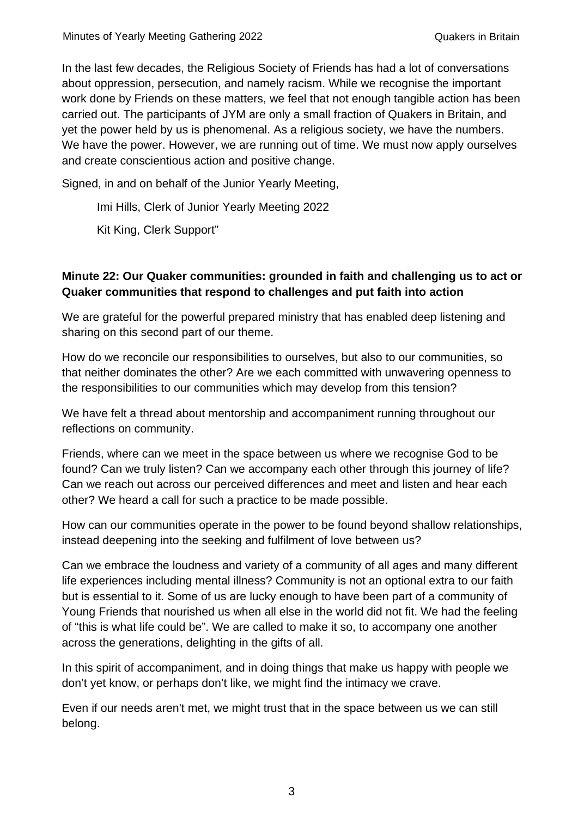In the last few decades, the Religious Society of Friends has had a lot of conversations about oppression, persecution, and namely racism. While we recognise the important work done by Friends on these matters, we feel that not enough tangible action has been carried out. The participants of JYM are only a small fraction of Quakers in Britain, and yet the power held by us is phenomenal. As a religious society, we have the numbers. We have the power. However, we are running out of time. We must now apply ourselves and create conscientious action and positive change.

Signed, in and on behalf of the Junior Yearly Meeting,

Imi Hills, Clerk of Junior Yearly Meeting 2022

Kit King, Clerk Support"

# **Minute 22: Our Quaker communities: grounded in faith and challenging us to act or Quaker communities that respond to challenges and put faith into action**

We are grateful for the powerful prepared ministry that has enabled deep listening and sharing on this second part of our theme.

How do we reconcile our responsibilities to ourselves, but also to our communities, so that neither dominates the other? Are we each committed with unwavering openness to the responsibilities to our communities which may develop from this tension?

We have felt a thread about mentorship and accompaniment running throughout our reflections on community.

Friends, where can we meet in the space between us where we recognise God to be found? Can we truly listen? Can we accompany each other through this journey of life? Can we reach out across our perceived differences and meet and listen and hear each other? We heard a call for such a practice to be made possible.

How can our communities operate in the power to be found beyond shallow relationships, instead deepening into the seeking and fulfilment of love between us?

Can we embrace the loudness and variety of a community of all ages and many different life experiences including mental illness? Community is not an optional extra to our faith but is essential to it. Some of us are lucky enough to have been part of a community of Young Friends that nourished us when all else in the world did not fit. We had the feeling of "this is what life could be". We are called to make it so, to accompany one another across the generations, delighting in the gifts of all.

In this spirit of accompaniment, and in doing things that make us happy with people we don't yet know, or perhaps don't like, we might find the intimacy we crave.

Even if our needs aren't met, we might trust that in the space between us we can still belong.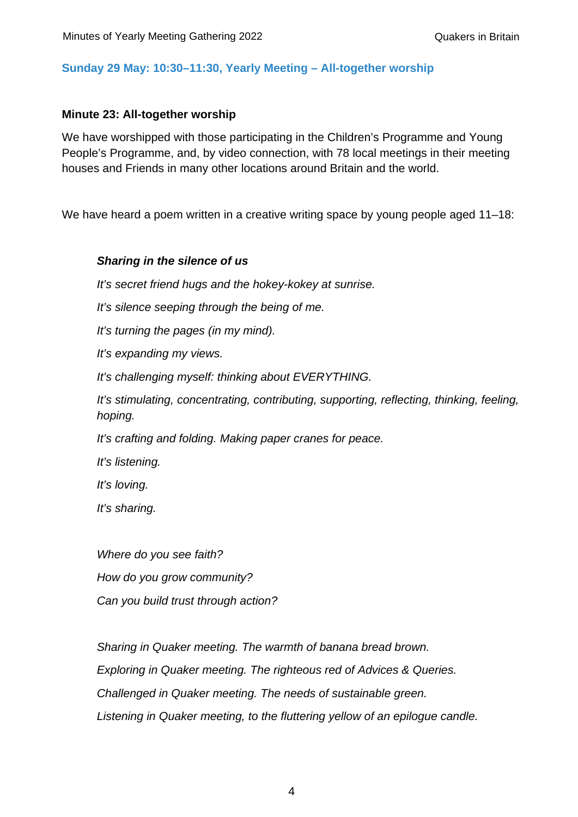#### **Sunday 29 May: 10:30–11:30, Yearly Meeting – All-together worship**

#### **Minute 23: All-together worship**

We have worshipped with those participating in the Children's Programme and Young People's Programme, and, by video connection, with 78 local meetings in their meeting houses and Friends in many other locations around Britain and the world.

We have heard a poem written in a creative writing space by young people aged 11–18:

#### *Sharing in the silence of us*

*It's secret friend hugs and the hokey-kokey at sunrise.* 

*It's silence seeping through the being of me.* 

*It's turning the pages (in my mind).*

*It's expanding my views.*

*It's challenging myself: thinking about EVERYTHING.*

*It's stimulating, concentrating, contributing, supporting, reflecting, thinking, feeling, hoping.*

*It's crafting and folding. Making paper cranes for peace.* 

*It's listening.* 

*It's loving.* 

*It's sharing.*

*Where do you see faith? How do you grow community? Can you build trust through action?*

*Sharing in Quaker meeting. The warmth of banana bread brown. Exploring in Quaker meeting. The righteous red of Advices & Queries. Challenged in Quaker meeting. The needs of sustainable green. Listening in Quaker meeting, to the fluttering yellow of an epilogue candle.*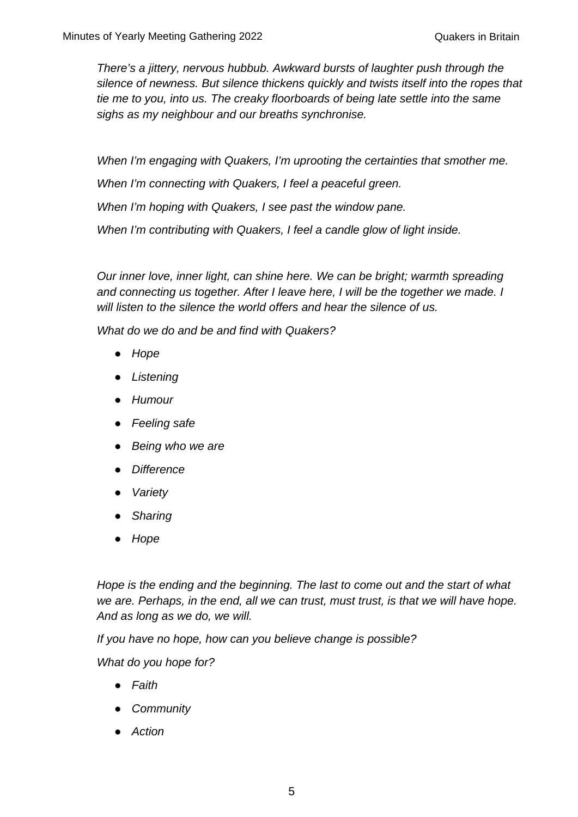*There's a jittery, nervous hubbub. Awkward bursts of laughter push through the silence of newness. But silence thickens quickly and twists itself into the ropes that tie me to you, into us. The creaky floorboards of being late settle into the same sighs as my neighbour and our breaths synchronise.* 

*When I'm engaging with Quakers, I'm uprooting the certainties that smother me. When I'm connecting with Quakers, I feel a peaceful green. When I'm hoping with Quakers, I see past the window pane. When I'm contributing with Quakers, I feel a candle glow of light inside.* 

*Our inner love, inner light, can shine here. We can be bright; warmth spreading and connecting us together. After I leave here, I will be the together we made. I will listen to the silence the world offers and hear the silence of us.* 

*What do we do and be and find with Quakers?*

- *Hope*
- *Listening*
- *Humour*
- *Feeling safe*
- *Being who we are*
- *Difference*
- *Variety*
- *Sharing*
- *Hope*

*Hope is the ending and the beginning. The last to come out and the start of what we are. Perhaps, in the end, all we can trust, must trust, is that we will have hope. And as long as we do, we will.* 

*If you have no hope, how can you believe change is possible?*

*What do you hope for?* 

- *Faith*
- *Community*
- *Action*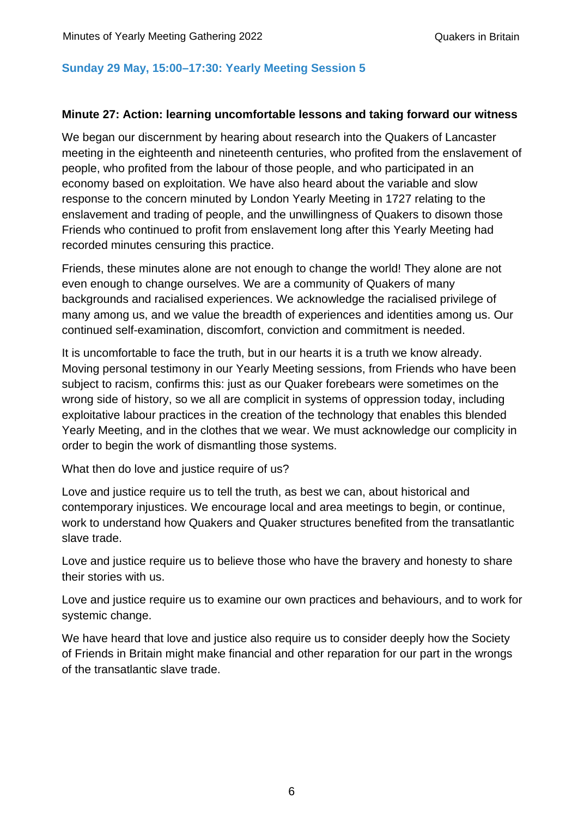## **Sunday 29 May, 15:00–17:30: Yearly Meeting Session 5**

#### **Minute 27: Action: learning uncomfortable lessons and taking forward our witness**

We began our discernment by hearing about research into the Quakers of Lancaster meeting in the eighteenth and nineteenth centuries, who profited from the enslavement of people, who profited from the labour of those people, and who participated in an economy based on exploitation. We have also heard about the variable and slow response to the concern minuted by London Yearly Meeting in 1727 relating to the enslavement and trading of people, and the unwillingness of Quakers to disown those Friends who continued to profit from enslavement long after this Yearly Meeting had recorded minutes censuring this practice.

Friends, these minutes alone are not enough to change the world! They alone are not even enough to change ourselves. We are a community of Quakers of many backgrounds and racialised experiences. We acknowledge the racialised privilege of many among us, and we value the breadth of experiences and identities among us. Our continued self-examination, discomfort, conviction and commitment is needed.

It is uncomfortable to face the truth, but in our hearts it is a truth we know already. Moving personal testimony in our Yearly Meeting sessions, from Friends who have been subject to racism, confirms this: just as our Quaker forebears were sometimes on the wrong side of history, so we all are complicit in systems of oppression today, including exploitative labour practices in the creation of the technology that enables this blended Yearly Meeting, and in the clothes that we wear. We must acknowledge our complicity in order to begin the work of dismantling those systems.

What then do love and justice require of us?

Love and justice require us to tell the truth, as best we can, about historical and contemporary injustices. We encourage local and area meetings to begin, or continue, work to understand how Quakers and Quaker structures benefited from the transatlantic slave trade.

Love and justice require us to believe those who have the bravery and honesty to share their stories with us.

Love and justice require us to examine our own practices and behaviours, and to work for systemic change.

We have heard that love and justice also require us to consider deeply how the Society of Friends in Britain might make financial and other reparation for our part in the wrongs of the transatlantic slave trade.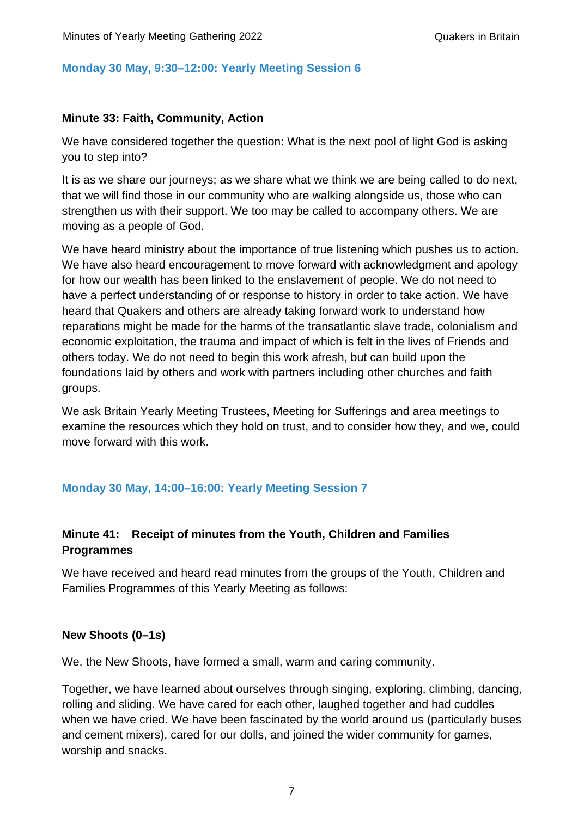## **Monday 30 May, 9:30–12:00: Yearly Meeting Session 6**

## **Minute 33: Faith, Community, Action**

We have considered together the question: What is the next pool of light God is asking you to step into?

It is as we share our journeys; as we share what we think we are being called to do next, that we will find those in our community who are walking alongside us, those who can strengthen us with their support. We too may be called to accompany others. We are moving as a people of God.

We have heard ministry about the importance of true listening which pushes us to action. We have also heard encouragement to move forward with acknowledgment and apology for how our wealth has been linked to the enslavement of people. We do not need to have a perfect understanding of or response to history in order to take action. We have heard that Quakers and others are already taking forward work to understand how reparations might be made for the harms of the transatlantic slave trade, colonialism and economic exploitation, the trauma and impact of which is felt in the lives of Friends and others today. We do not need to begin this work afresh, but can build upon the foundations laid by others and work with partners including other churches and faith groups.

We ask Britain Yearly Meeting Trustees, Meeting for Sufferings and area meetings to examine the resources which they hold on trust, and to consider how they, and we, could move forward with this work.

## **Monday 30 May, 14:00–16:00: Yearly Meeting Session 7**

## **Minute 41: Receipt of minutes from the Youth, Children and Families Programmes**

We have received and heard read minutes from the groups of the Youth, Children and Families Programmes of this Yearly Meeting as follows:

### **New Shoots (0–1s)**

We, the New Shoots, have formed a small, warm and caring community.

Together, we have learned about ourselves through singing, exploring, climbing, dancing, rolling and sliding. We have cared for each other, laughed together and had cuddles when we have cried. We have been fascinated by the world around us (particularly buses and cement mixers), cared for our dolls, and joined the wider community for games, worship and snacks.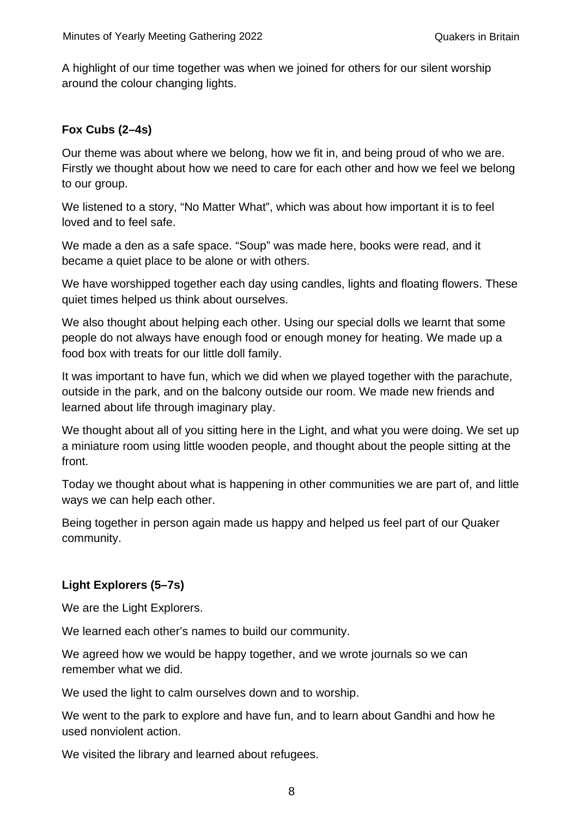A highlight of our time together was when we joined for others for our silent worship around the colour changing lights.

## **Fox Cubs (2–4s)**

Our theme was about where we belong, how we fit in, and being proud of who we are. Firstly we thought about how we need to care for each other and how we feel we belong to our group.

We listened to a story, "No Matter What", which was about how important it is to feel loved and to feel safe.

We made a den as a safe space. "Soup" was made here, books were read, and it became a quiet place to be alone or with others.

We have worshipped together each day using candles, lights and floating flowers. These quiet times helped us think about ourselves.

We also thought about helping each other. Using our special dolls we learnt that some people do not always have enough food or enough money for heating. We made up a food box with treats for our little doll family.

It was important to have fun, which we did when we played together with the parachute, outside in the park, and on the balcony outside our room. We made new friends and learned about life through imaginary play.

We thought about all of you sitting here in the Light, and what you were doing. We set up a miniature room using little wooden people, and thought about the people sitting at the front.

Today we thought about what is happening in other communities we are part of, and little ways we can help each other.

Being together in person again made us happy and helped us feel part of our Quaker community.

# **Light Explorers (5–7s)**

We are the Light Explorers.

We learned each other's names to build our community.

We agreed how we would be happy together, and we wrote journals so we can remember what we did.

We used the light to calm ourselves down and to worship.

We went to the park to explore and have fun, and to learn about Gandhi and how he used nonviolent action.

We visited the library and learned about refugees.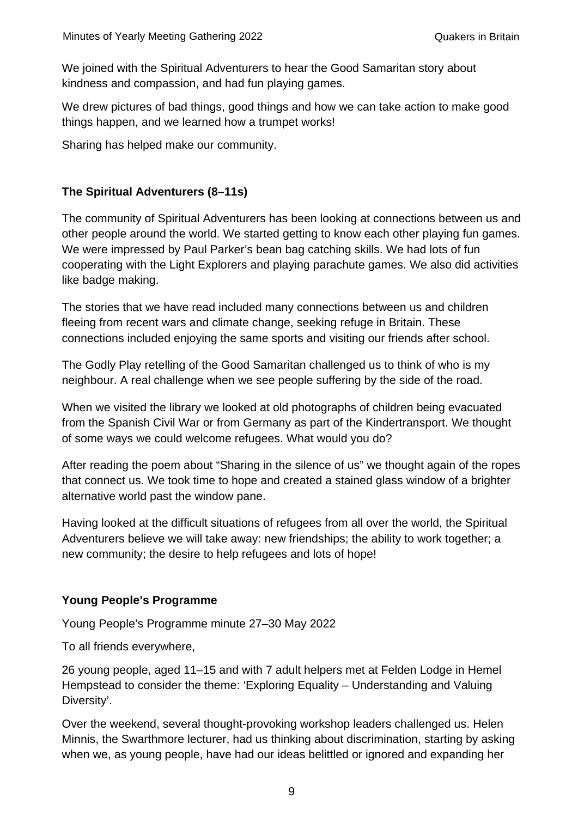We joined with the Spiritual Adventurers to hear the Good Samaritan story about kindness and compassion, and had fun playing games.

We drew pictures of bad things, good things and how we can take action to make good things happen, and we learned how a trumpet works!

Sharing has helped make our community.

## **The Spiritual Adventurers (8–11s)**

The community of Spiritual Adventurers has been looking at connections between us and other people around the world. We started getting to know each other playing fun games. We were impressed by Paul Parker's bean bag catching skills. We had lots of fun cooperating with the Light Explorers and playing parachute games. We also did activities like badge making.

The stories that we have read included many connections between us and children fleeing from recent wars and climate change, seeking refuge in Britain. These connections included enjoying the same sports and visiting our friends after school.

The Godly Play retelling of the Good Samaritan challenged us to think of who is my neighbour. A real challenge when we see people suffering by the side of the road.

When we visited the library we looked at old photographs of children being evacuated from the Spanish Civil War or from Germany as part of the Kindertransport. We thought of some ways we could welcome refugees. What would you do?

After reading the poem about "Sharing in the silence of us" we thought again of the ropes that connect us. We took time to hope and created a stained glass window of a brighter alternative world past the window pane.

Having looked at the difficult situations of refugees from all over the world, the Spiritual Adventurers believe we will take away: new friendships; the ability to work together; a new community; the desire to help refugees and lots of hope!

## **Young People's Programme**

Young People's Programme minute 27–30 May 2022

To all friends everywhere,

26 young people, aged 11–15 and with 7 adult helpers met at Felden Lodge in Hemel Hempstead to consider the theme: 'Exploring Equality – Understanding and Valuing Diversity'.

Over the weekend, several thought-provoking workshop leaders challenged us. Helen Minnis, the Swarthmore lecturer, had us thinking about discrimination, starting by asking when we, as young people, have had our ideas belittled or ignored and expanding her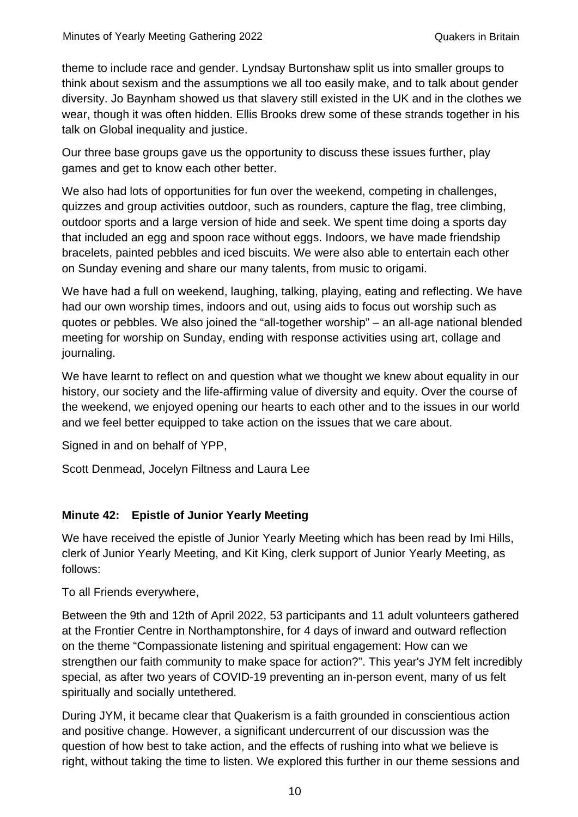theme to include race and gender. Lyndsay Burtonshaw split us into smaller groups to think about sexism and the assumptions we all too easily make, and to talk about gender diversity. Jo Baynham showed us that slavery still existed in the UK and in the clothes we wear, though it was often hidden. Ellis Brooks drew some of these strands together in his talk on Global inequality and justice.

Our three base groups gave us the opportunity to discuss these issues further, play games and get to know each other better.

We also had lots of opportunities for fun over the weekend, competing in challenges, quizzes and group activities outdoor, such as rounders, capture the flag, tree climbing, outdoor sports and a large version of hide and seek. We spent time doing a sports day that included an egg and spoon race without eggs. Indoors, we have made friendship bracelets, painted pebbles and iced biscuits. We were also able to entertain each other on Sunday evening and share our many talents, from music to origami.

We have had a full on weekend, laughing, talking, playing, eating and reflecting. We have had our own worship times, indoors and out, using aids to focus out worship such as quotes or pebbles. We also joined the "all-together worship" – an all-age national blended meeting for worship on Sunday, ending with response activities using art, collage and journaling.

We have learnt to reflect on and question what we thought we knew about equality in our history, our society and the life-affirming value of diversity and equity. Over the course of the weekend, we enjoyed opening our hearts to each other and to the issues in our world and we feel better equipped to take action on the issues that we care about.

Signed in and on behalf of YPP,

Scott Denmead, Jocelyn Filtness and Laura Lee

## **Minute 42: Epistle of Junior Yearly Meeting**

We have received the epistle of Junior Yearly Meeting which has been read by Imi Hills, clerk of Junior Yearly Meeting, and Kit King, clerk support of Junior Yearly Meeting, as follows:

To all Friends everywhere,

Between the 9th and 12th of April 2022, 53 participants and 11 adult volunteers gathered at the Frontier Centre in Northamptonshire, for 4 days of inward and outward reflection on the theme "Compassionate listening and spiritual engagement: How can we strengthen our faith community to make space for action?". This year's JYM felt incredibly special, as after two years of COVID-19 preventing an in-person event, many of us felt spiritually and socially untethered.

During JYM, it became clear that Quakerism is a faith grounded in conscientious action and positive change. However, a significant undercurrent of our discussion was the question of how best to take action, and the effects of rushing into what we believe is right, without taking the time to listen. We explored this further in our theme sessions and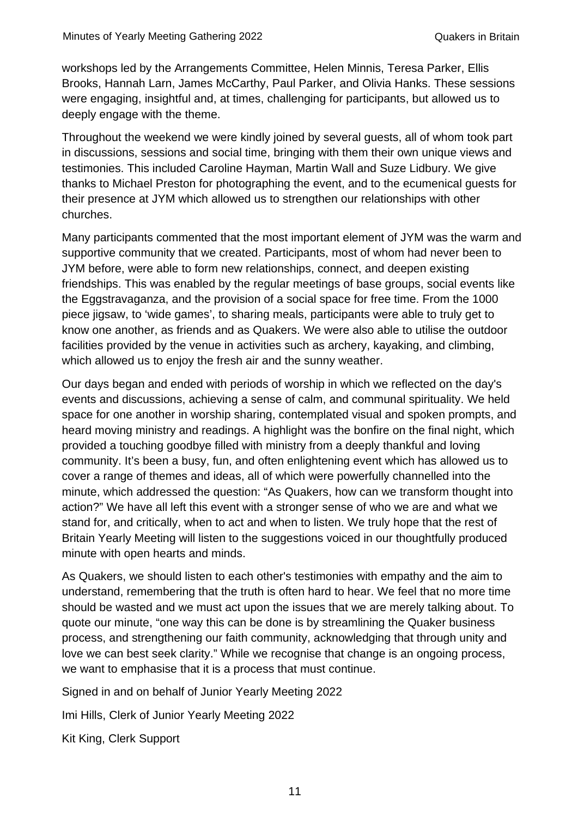workshops led by the Arrangements Committee, Helen Minnis, Teresa Parker, Ellis Brooks, Hannah Larn, James McCarthy, Paul Parker, and Olivia Hanks. These sessions were engaging, insightful and, at times, challenging for participants, but allowed us to deeply engage with the theme.

Throughout the weekend we were kindly joined by several guests, all of whom took part in discussions, sessions and social time, bringing with them their own unique views and testimonies. This included Caroline Hayman, Martin Wall and Suze Lidbury. We give thanks to Michael Preston for photographing the event, and to the ecumenical guests for their presence at JYM which allowed us to strengthen our relationships with other churches.

Many participants commented that the most important element of JYM was the warm and supportive community that we created. Participants, most of whom had never been to JYM before, were able to form new relationships, connect, and deepen existing friendships. This was enabled by the regular meetings of base groups, social events like the Eggstravaganza, and the provision of a social space for free time. From the 1000 piece jigsaw, to 'wide games', to sharing meals, participants were able to truly get to know one another, as friends and as Quakers. We were also able to utilise the outdoor facilities provided by the venue in activities such as archery, kayaking, and climbing, which allowed us to enjoy the fresh air and the sunny weather.

Our days began and ended with periods of worship in which we reflected on the day's events and discussions, achieving a sense of calm, and communal spirituality. We held space for one another in worship sharing, contemplated visual and spoken prompts, and heard moving ministry and readings. A highlight was the bonfire on the final night, which provided a touching goodbye filled with ministry from a deeply thankful and loving community. It's been a busy, fun, and often enlightening event which has allowed us to cover a range of themes and ideas, all of which were powerfully channelled into the minute, which addressed the question: "As Quakers, how can we transform thought into action?" We have all left this event with a stronger sense of who we are and what we stand for, and critically, when to act and when to listen. We truly hope that the rest of Britain Yearly Meeting will listen to the suggestions voiced in our thoughtfully produced minute with open hearts and minds.

As Quakers, we should listen to each other's testimonies with empathy and the aim to understand, remembering that the truth is often hard to hear. We feel that no more time should be wasted and we must act upon the issues that we are merely talking about. To quote our minute, "one way this can be done is by streamlining the Quaker business process, and strengthening our faith community, acknowledging that through unity and love we can best seek clarity." While we recognise that change is an ongoing process, we want to emphasise that it is a process that must continue.

Signed in and on behalf of Junior Yearly Meeting 2022

Imi Hills, Clerk of Junior Yearly Meeting 2022

Kit King, Clerk Support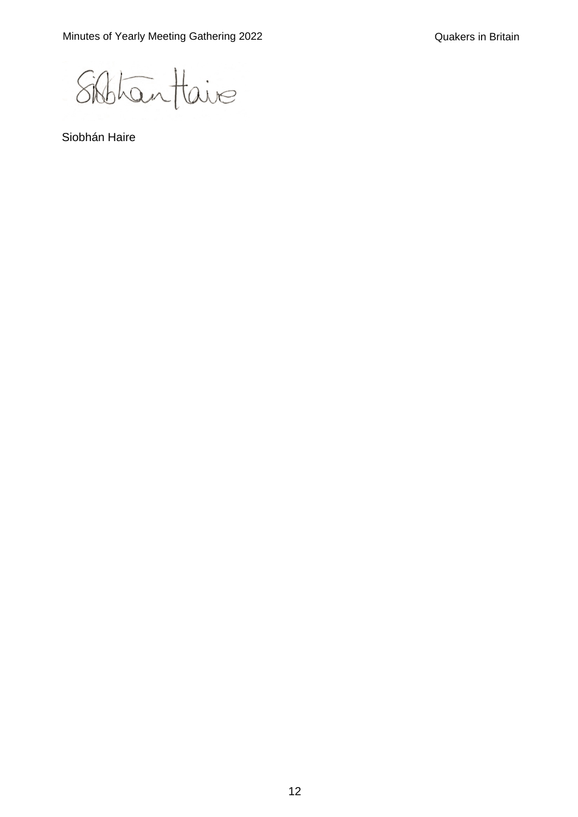Sibhantaire

Siobhán Haire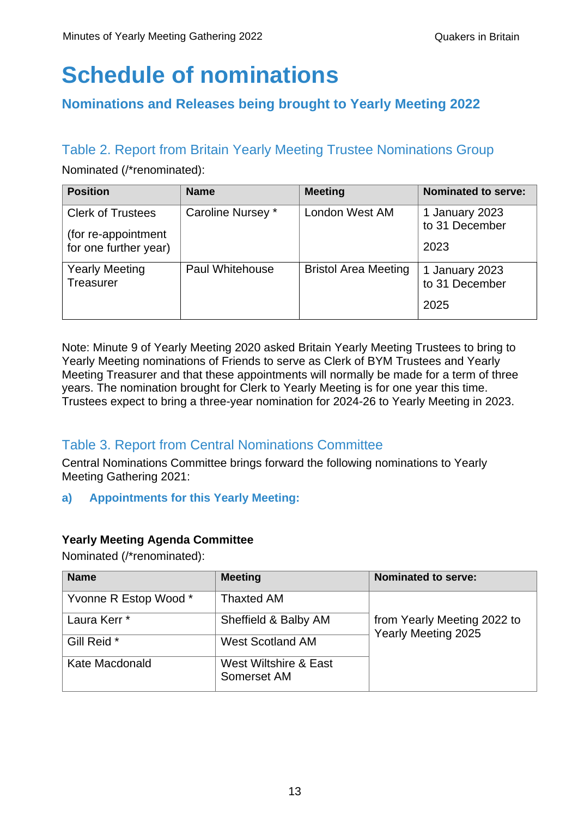# **Schedule of nominations**

# **Nominations and Releases being brought to Yearly Meeting 2022**

# Table 2. Report from Britain Yearly Meeting Trustee Nominations Group

Nominated (/\*renominated):

| <b>Position</b>                                 | <b>Name</b>            | <b>Meeting</b>              | <b>Nominated to serve:</b>       |
|-------------------------------------------------|------------------------|-----------------------------|----------------------------------|
| <b>Clerk of Trustees</b><br>(for re-appointment | Caroline Nursey *      | London West AM              | 1 January 2023<br>to 31 December |
| for one further year)                           |                        |                             | 2023                             |
| <b>Yearly Meeting</b><br>Treasurer              | <b>Paul Whitehouse</b> | <b>Bristol Area Meeting</b> | 1 January 2023<br>to 31 December |
|                                                 |                        |                             | 2025                             |

Note: Minute 9 of Yearly Meeting 2020 asked Britain Yearly Meeting Trustees to bring to Yearly Meeting nominations of Friends to serve as Clerk of BYM Trustees and Yearly Meeting Treasurer and that these appointments will normally be made for a term of three years. The nomination brought for Clerk to Yearly Meeting is for one year this time. Trustees expect to bring a three-year nomination for 2024-26 to Yearly Meeting in 2023.

# Table 3. Report from Central Nominations Committee

Central Nominations Committee brings forward the following nominations to Yearly Meeting Gathering 2021:

**a) Appointments for this Yearly Meeting:**

# **Yearly Meeting Agenda Committee**

Nominated (/\*renominated):

| <b>Name</b>             | <b>Meeting</b>                       | <b>Nominated to serve:</b>                         |
|-------------------------|--------------------------------------|----------------------------------------------------|
| Yvonne R Estop Wood *   | <b>Thaxted AM</b>                    |                                                    |
| Laura Kerr <sup>*</sup> | Sheffield & Balby AM                 | from Yearly Meeting 2022 to<br>Yearly Meeting 2025 |
| Gill Reid *             | <b>West Scotland AM</b>              |                                                    |
| Kate Macdonald          | West Wiltshire & East<br>Somerset AM |                                                    |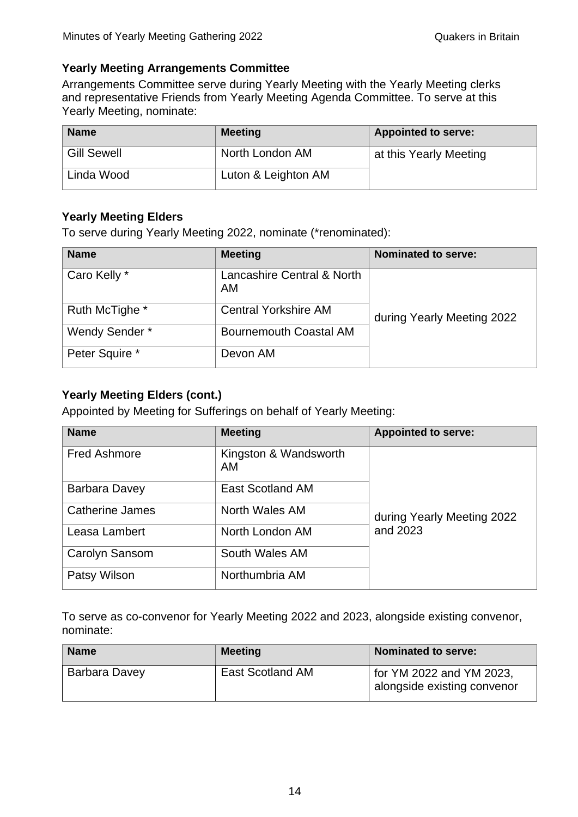## **Yearly Meeting Arrangements Committee**

Arrangements Committee serve during Yearly Meeting with the Yearly Meeting clerks and representative Friends from Yearly Meeting Agenda Committee. To serve at this Yearly Meeting, nominate:

| <b>Name</b>        | <b>Meeting</b>      | <b>Appointed to serve:</b> |
|--------------------|---------------------|----------------------------|
| <b>Gill Sewell</b> | North London AM     | at this Yearly Meeting     |
| Linda Wood         | Luton & Leighton AM |                            |

## **Yearly Meeting Elders**

To serve during Yearly Meeting 2022, nominate (\*renominated):

| <b>Name</b>    | <b>Meeting</b>                          | <b>Nominated to serve:</b> |
|----------------|-----------------------------------------|----------------------------|
| Caro Kelly *   | Lancashire Central & North<br><b>AM</b> |                            |
| Ruth McTighe * | <b>Central Yorkshire AM</b>             | during Yearly Meeting 2022 |
| Wendy Sender*  | <b>Bournemouth Coastal AM</b>           |                            |
| Peter Squire * | Devon AM                                |                            |

## **Yearly Meeting Elders (cont.)**

Appointed by Meeting for Sufferings on behalf of Yearly Meeting:

| <b>Name</b>            | <b>Meeting</b>              | <b>Appointed to serve:</b> |  |
|------------------------|-----------------------------|----------------------------|--|
| <b>Fred Ashmore</b>    | Kingston & Wandsworth<br>AM |                            |  |
| Barbara Davey          | <b>East Scotland AM</b>     |                            |  |
| <b>Catherine James</b> | North Wales AM              | during Yearly Meeting 2022 |  |
| Leasa Lambert          | North London AM             | and 2023                   |  |
| Carolyn Sansom         | South Wales AM              |                            |  |
| Patsy Wilson           | Northumbria AM              |                            |  |

To serve as co-convenor for Yearly Meeting 2022 and 2023, alongside existing convenor, nominate:

| <b>Name</b>   | <b>Meeting</b>          | <b>Nominated to serve:</b>                              |
|---------------|-------------------------|---------------------------------------------------------|
| Barbara Davey | <b>East Scotland AM</b> | for YM 2022 and YM 2023,<br>alongside existing convenor |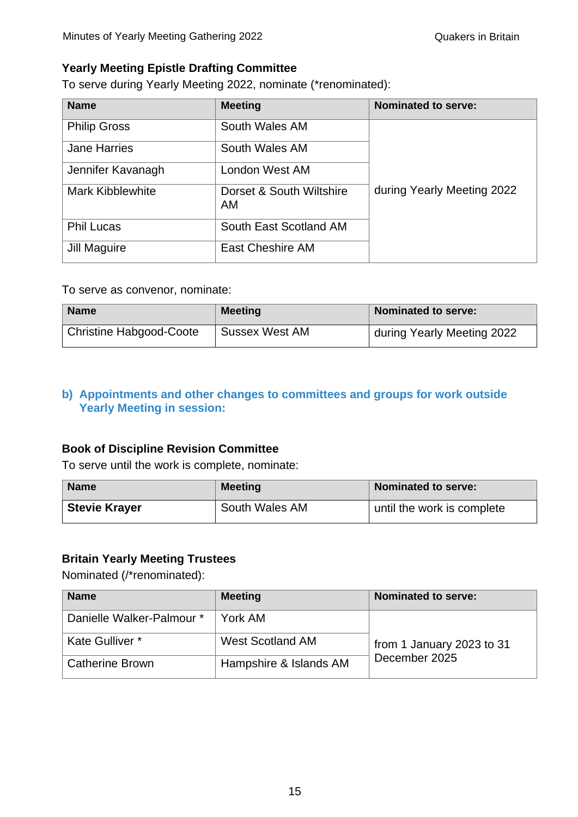## **Yearly Meeting Epistle Drafting Committee**

To serve during Yearly Meeting 2022, nominate (\*renominated):

| <b>Name</b>             | <b>Meeting</b>                 | <b>Nominated to serve:</b> |
|-------------------------|--------------------------------|----------------------------|
| <b>Philip Gross</b>     | South Wales AM                 |                            |
| <b>Jane Harries</b>     | South Wales AM                 |                            |
| Jennifer Kavanagh       | London West AM                 |                            |
| <b>Mark Kibblewhite</b> | Dorset & South Wiltshire<br>AM | during Yearly Meeting 2022 |
| <b>Phil Lucas</b>       | South East Scotland AM         |                            |
| Jill Maguire            | East Cheshire AM               |                            |

#### To serve as convenor, nominate:

| <b>Name</b>             | <b>Meeting</b> | <b>Nominated to serve:</b> |
|-------------------------|----------------|----------------------------|
| Christine Habgood-Coote | Sussex West AM | during Yearly Meeting 2022 |

## **b) Appointments and other changes to committees and groups for work outside Yearly Meeting in session:**

## **Book of Discipline Revision Committee**

To serve until the work is complete, nominate:

| <b>Name</b>          | <b>Meeting</b> | Nominated to serve:        |
|----------------------|----------------|----------------------------|
| <b>Stevie Krayer</b> | South Wales AM | until the work is complete |

### **Britain Yearly Meeting Trustees**

Nominated (/\*renominated):

| <b>Name</b>               | <b>Meeting</b>          | Nominated to serve:       |
|---------------------------|-------------------------|---------------------------|
| Danielle Walker-Palmour * | York AM                 |                           |
| Kate Gulliver *           | <b>West Scotland AM</b> | from 1 January 2023 to 31 |
| <b>Catherine Brown</b>    | Hampshire & Islands AM  | December 2025             |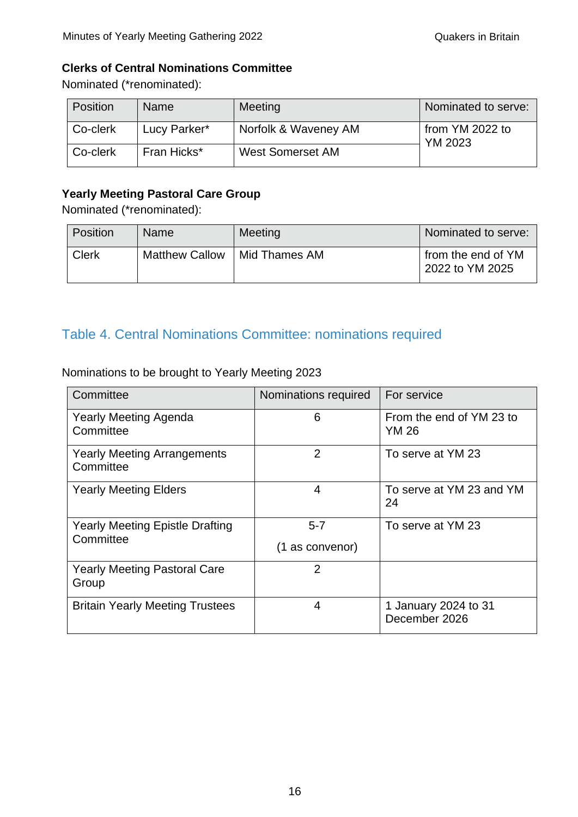## **Clerks of Central Nominations Committee**

Nominated (\*renominated):

| <b>Position</b> | <b>Name</b>  | Meeting                 | Nominated to serve:               |
|-----------------|--------------|-------------------------|-----------------------------------|
| Co-clerk        | Lucy Parker* | Norfolk & Waveney AM    | from YM 2022 to<br><b>YM 2023</b> |
| Co-clerk        | Fran Hicks*  | <b>West Somerset AM</b> |                                   |

## **Yearly Meeting Pastoral Care Group**

Nominated (\*renominated):

| Position     | Name                  | <b>Meeting</b> | Nominated to serve:                   |
|--------------|-----------------------|----------------|---------------------------------------|
| <b>Clerk</b> | <b>Matthew Callow</b> | Mid Thames AM  | from the end of YM<br>2022 to YM 2025 |

# Table 4. Central Nominations Committee: nominations required

Nominations to be brought to Yearly Meeting 2023

| Committee                                       | Nominations required | For service                              |
|-------------------------------------------------|----------------------|------------------------------------------|
| <b>Yearly Meeting Agenda</b><br>Committee       | 6                    | From the end of YM 23 to<br><b>YM 26</b> |
| <b>Yearly Meeting Arrangements</b><br>Committee | $\overline{2}$       | To serve at YM 23                        |
| <b>Yearly Meeting Elders</b>                    | 4                    | To serve at YM 23 and YM<br>24           |
| <b>Yearly Meeting Epistle Drafting</b>          | $5 - 7$              | To serve at YM 23                        |
| Committee                                       | (1 as convenor)      |                                          |
| <b>Yearly Meeting Pastoral Care</b><br>Group    | $\overline{2}$       |                                          |
| <b>Britain Yearly Meeting Trustees</b>          | 4                    | 1 January 2024 to 31<br>December 2026    |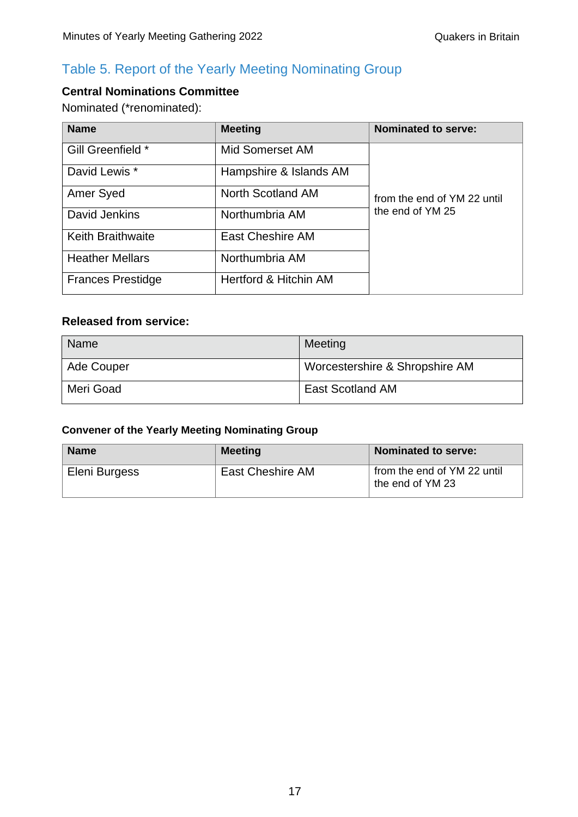# Table 5. Report of the Yearly Meeting Nominating Group

# **Central Nominations Committee**

Nominated (\*renominated):

| <b>Name</b>              | <b>Meeting</b>         | <b>Nominated to serve:</b>  |
|--------------------------|------------------------|-----------------------------|
| Gill Greenfield *        | Mid Somerset AM        |                             |
| David Lewis *            | Hampshire & Islands AM |                             |
| Amer Syed                | North Scotland AM      | from the end of YM 22 until |
| David Jenkins            | Northumbria AM         | the end of YM 25            |
| <b>Keith Braithwaite</b> | East Cheshire AM       |                             |
| <b>Heather Mellars</b>   | Northumbria AM         |                             |
| <b>Frances Prestidge</b> | Hertford & Hitchin AM  |                             |

## **Released from service:**

| <b>Name</b> | Meeting                        |
|-------------|--------------------------------|
| Ade Couper  | Worcestershire & Shropshire AM |
| Meri Goad   | <b>East Scotland AM</b>        |

## **Convener of the Yearly Meeting Nominating Group**

| <b>Name</b>   | <b>Meeting</b>   | Nominated to serve:                             |
|---------------|------------------|-------------------------------------------------|
| Eleni Burgess | East Cheshire AM | from the end of YM 22 until<br>the end of YM 23 |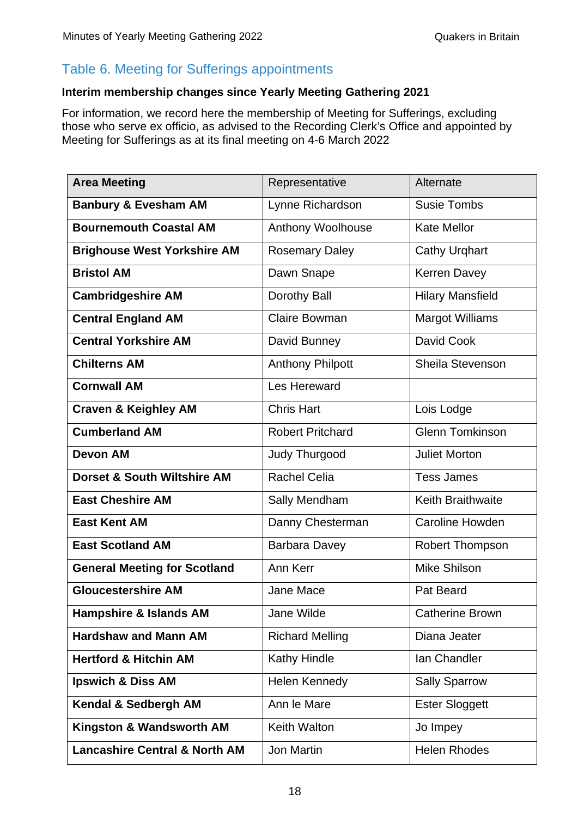# Table 6. Meeting for Sufferings appointments

## **Interim membership changes since Yearly Meeting Gathering 2021**

For information, we record here the membership of Meeting for Sufferings, excluding those who serve ex officio, as advised to the Recording Clerk's Office and appointed by Meeting for Sufferings as at its final meeting on 4-6 March 2022

| <b>Area Meeting</b>                      | Representative          | Alternate                |
|------------------------------------------|-------------------------|--------------------------|
| <b>Banbury &amp; Evesham AM</b>          | Lynne Richardson        | <b>Susie Tombs</b>       |
| <b>Bournemouth Coastal AM</b>            | Anthony Woolhouse       | <b>Kate Mellor</b>       |
| <b>Brighouse West Yorkshire AM</b>       | <b>Rosemary Daley</b>   | <b>Cathy Urghart</b>     |
| <b>Bristol AM</b>                        | Dawn Snape              | <b>Kerren Davey</b>      |
| <b>Cambridgeshire AM</b>                 | Dorothy Ball            | <b>Hilary Mansfield</b>  |
| <b>Central England AM</b>                | <b>Claire Bowman</b>    | <b>Margot Williams</b>   |
| <b>Central Yorkshire AM</b>              | David Bunney            | David Cook               |
| <b>Chilterns AM</b>                      | <b>Anthony Philpott</b> | <b>Sheila Stevenson</b>  |
| <b>Cornwall AM</b>                       | Les Hereward            |                          |
| <b>Craven &amp; Keighley AM</b>          | <b>Chris Hart</b>       | Lois Lodge               |
| <b>Cumberland AM</b>                     | <b>Robert Pritchard</b> | <b>Glenn Tomkinson</b>   |
| <b>Devon AM</b>                          | Judy Thurgood           | <b>Juliet Morton</b>     |
| Dorset & South Wiltshire AM              | <b>Rachel Celia</b>     | <b>Tess James</b>        |
| <b>East Cheshire AM</b>                  | Sally Mendham           | <b>Keith Braithwaite</b> |
| <b>East Kent AM</b>                      | Danny Chesterman        | <b>Caroline Howden</b>   |
| <b>East Scotland AM</b>                  | <b>Barbara Davey</b>    | <b>Robert Thompson</b>   |
| <b>General Meeting for Scotland</b>      | Ann Kerr                | Mike Shilson             |
| <b>Gloucestershire AM</b>                | <b>Jane Mace</b>        | Pat Beard                |
| <b>Hampshire &amp; Islands AM</b>        | Jane Wilde              | <b>Catherine Brown</b>   |
| <b>Hardshaw and Mann AM</b>              | <b>Richard Melling</b>  | Diana Jeater             |
| <b>Hertford &amp; Hitchin AM</b>         | Kathy Hindle            | Ian Chandler             |
| Ipswich & Diss AM                        | Helen Kennedy           | <b>Sally Sparrow</b>     |
| Kendal & Sedbergh AM                     | Ann le Mare             | <b>Ester Sloggett</b>    |
| Kingston & Wandsworth AM                 | Keith Walton            | Jo Impey                 |
| <b>Lancashire Central &amp; North AM</b> | Jon Martin              | <b>Helen Rhodes</b>      |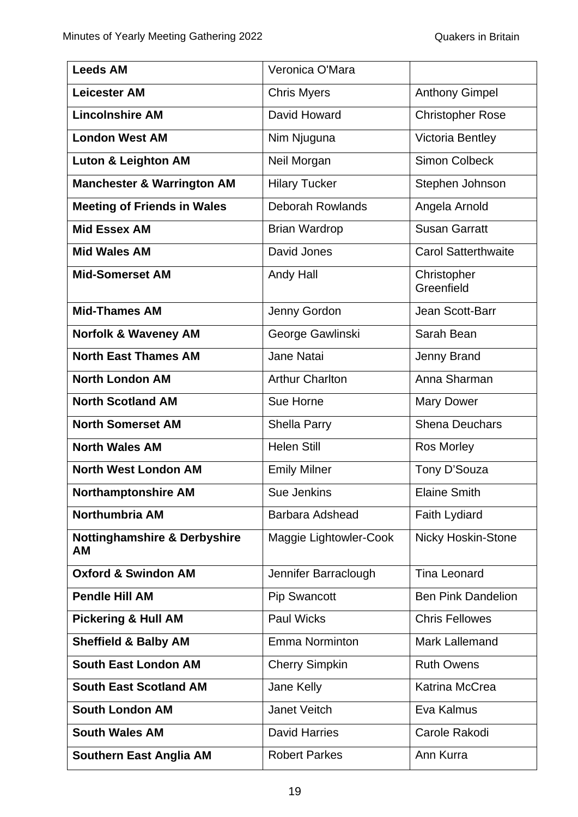| <b>Leeds AM</b>                               | Veronica O'Mara         |                            |
|-----------------------------------------------|-------------------------|----------------------------|
| <b>Leicester AM</b>                           | <b>Chris Myers</b>      | <b>Anthony Gimpel</b>      |
| <b>Lincolnshire AM</b>                        | David Howard            | <b>Christopher Rose</b>    |
| <b>London West AM</b>                         | Nim Njuguna             | Victoria Bentley           |
| <b>Luton &amp; Leighton AM</b>                | Neil Morgan             | <b>Simon Colbeck</b>       |
| <b>Manchester &amp; Warrington AM</b>         | <b>Hilary Tucker</b>    | Stephen Johnson            |
| <b>Meeting of Friends in Wales</b>            | <b>Deborah Rowlands</b> | Angela Arnold              |
| <b>Mid Essex AM</b>                           | <b>Brian Wardrop</b>    | <b>Susan Garratt</b>       |
| <b>Mid Wales AM</b>                           | David Jones             | <b>Carol Satterthwaite</b> |
| <b>Mid-Somerset AM</b>                        | Andy Hall               | Christopher<br>Greenfield  |
| <b>Mid-Thames AM</b>                          | Jenny Gordon            | Jean Scott-Barr            |
| <b>Norfolk &amp; Waveney AM</b>               | George Gawlinski        | Sarah Bean                 |
| <b>North East Thames AM</b>                   | Jane Natai              | Jenny Brand                |
| <b>North London AM</b>                        | <b>Arthur Charlton</b>  | Anna Sharman               |
| <b>North Scotland AM</b>                      | Sue Horne               | <b>Mary Dower</b>          |
| <b>North Somerset AM</b>                      | Shella Parry            | <b>Shena Deuchars</b>      |
| <b>North Wales AM</b>                         | <b>Helen Still</b>      | <b>Ros Morley</b>          |
| <b>North West London AM</b>                   | <b>Emily Milner</b>     | Tony D'Souza               |
| <b>Northamptonshire AM</b>                    | <b>Sue Jenkins</b>      | <b>Elaine Smith</b>        |
| Northumbria AM                                | Barbara Adshead         | <b>Faith Lydiard</b>       |
| <b>Nottinghamshire &amp; Derbyshire</b><br>AM | Maggie Lightowler-Cook  | <b>Nicky Hoskin-Stone</b>  |
| <b>Oxford &amp; Swindon AM</b>                | Jennifer Barraclough    | <b>Tina Leonard</b>        |
| <b>Pendle Hill AM</b>                         | <b>Pip Swancott</b>     | <b>Ben Pink Dandelion</b>  |
| <b>Pickering &amp; Hull AM</b>                | <b>Paul Wicks</b>       | <b>Chris Fellowes</b>      |
| <b>Sheffield &amp; Balby AM</b>               | <b>Emma Norminton</b>   | <b>Mark Lallemand</b>      |
| <b>South East London AM</b>                   | <b>Cherry Simpkin</b>   | <b>Ruth Owens</b>          |
| <b>South East Scotland AM</b>                 | Jane Kelly              | Katrina McCrea             |
| <b>South London AM</b>                        | Janet Veitch            | Eva Kalmus                 |
| <b>South Wales AM</b>                         | <b>David Harries</b>    | Carole Rakodi              |
| <b>Southern East Anglia AM</b>                | <b>Robert Parkes</b>    | Ann Kurra                  |